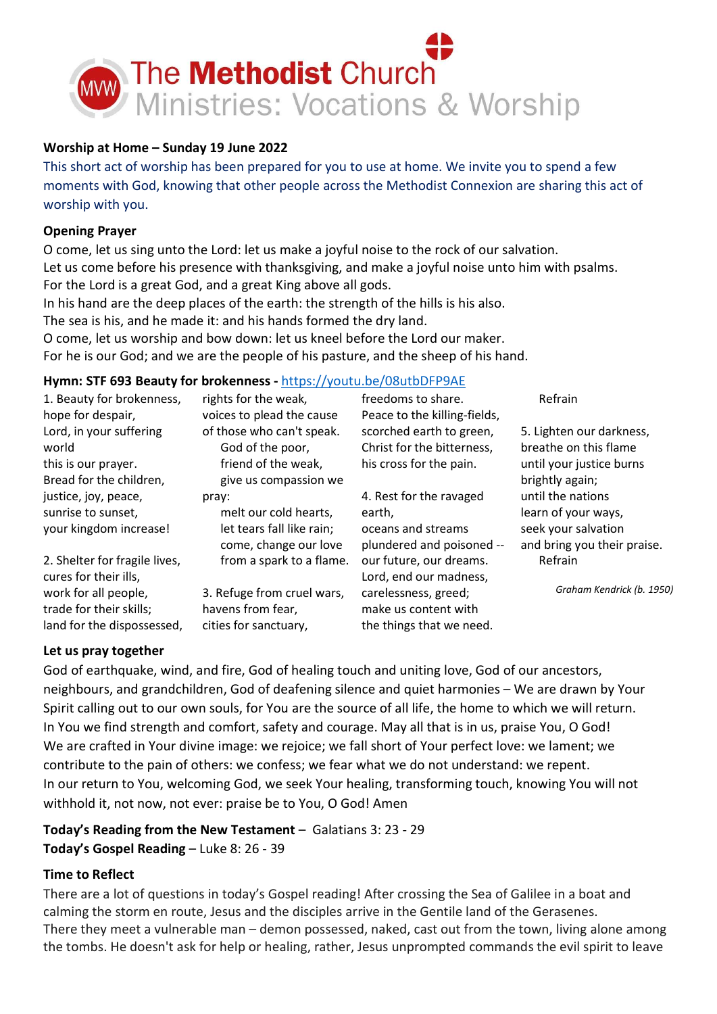

#### Worship at Home – Sunday 19 June 2022

This short act of worship has been prepared for you to use at home. We invite you to spend a few moments with God, knowing that other people across the Methodist Connexion are sharing this act of worship with you.

#### Opening Prayer

O come, let us sing unto the Lord: let us make a joyful noise to the rock of our salvation. Let us come before his presence with thanksgiving, and make a joyful noise unto him with psalms. For the Lord is a great God, and a great King above all gods.

In his hand are the deep places of the earth: the strength of the hills is his also.

The sea is his, and he made it: and his hands formed the dry land.

O come, let us worship and bow down: let us kneel before the Lord our maker. For he is our God; and we are the people of his pasture, and the sheep of his hand.

# Hymn: STF 693 Beauty for brokenness - https://youtu.be/08utbDFP9AE

| 1. Beauty for brokenness,<br>hope for despair, | rights for the weak,<br>voices to plead the cause | freedoms to share.<br>Peace to the killing-fields, | Refrain                     |
|------------------------------------------------|---------------------------------------------------|----------------------------------------------------|-----------------------------|
| Lord, in your suffering                        | of those who can't speak.                         | scorched earth to green,                           | 5. Lighten our darkness,    |
| world                                          | God of the poor,                                  | Christ for the bitterness,                         | breathe on this flame       |
| this is our prayer.                            | friend of the weak,                               | his cross for the pain.                            | until your justice burns    |
| Bread for the children,                        | give us compassion we                             |                                                    | brightly again;             |
| justice, joy, peace,                           | pray:                                             | 4. Rest for the ravaged                            | until the nations           |
| sunrise to sunset,                             | melt our cold hearts,                             | earth,                                             | learn of your ways,         |
| your kingdom increase!                         | let tears fall like rain;                         | oceans and streams                                 | seek your salvation         |
|                                                | come, change our love                             | plundered and poisoned --                          | and bring you their praise. |
| 2. Shelter for fragile lives,                  | from a spark to a flame.                          | our future, our dreams.                            | Refrain                     |
| cures for their ills,                          |                                                   | Lord, end our madness,                             |                             |
| work for all people,                           | 3. Refuge from cruel wars,                        | carelessness, greed;                               | Graham Kendrick (b. 1950)   |
| trade for their skills;                        | havens from fear,                                 | make us content with                               |                             |
| land for the dispossessed,                     | cities for sanctuary,                             | the things that we need.                           |                             |

#### Let us pray together

God of earthquake, wind, and fire, God of healing touch and uniting love, God of our ancestors, neighbours, and grandchildren, God of deafening silence and quiet harmonies – We are drawn by Your Spirit calling out to our own souls, for You are the source of all life, the home to which we will return. In You we find strength and comfort, safety and courage. May all that is in us, praise You, O God! We are crafted in Your divine image: we rejoice; we fall short of Your perfect love: we lament; we contribute to the pain of others: we confess; we fear what we do not understand: we repent. In our return to You, welcoming God, we seek Your healing, transforming touch, knowing You will not withhold it, not now, not ever: praise be to You, O God! Amen

# Today's Reading from the New Testament – Galatians 3: 23 - 29 Today's Gospel Reading – Luke 8: 26 - 39

### Time to Reflect

There are a lot of questions in today's Gospel reading! After crossing the Sea of Galilee in a boat and calming the storm en route, Jesus and the disciples arrive in the Gentile land of the Gerasenes. There they meet a vulnerable man – demon possessed, naked, cast out from the town, living alone among the tombs. He doesn't ask for help or healing, rather, Jesus unprompted commands the evil spirit to leave